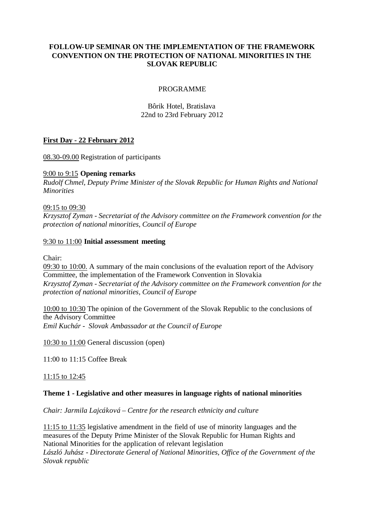# **FOLLOW-UP SEMINAR ON THE IMPLEMENTATION OF THE FRAMEWORK CONVENTION ON THE PROTECTION OF NATIONAL MINORITIES IN THE SLOVAK REPUBLIC**

## PROGRAMME

Bôrik Hotel, Bratislava 22nd to 23rd February 2012

# **First Day - 22 February 2012**

08.30-09.00 Registration of participants

## 9:00 to 9:15 **Opening remarks**

*Rudolf Chmel, Deputy Prime Minister of the Slovak Republic for Human Rights and National Minorities*

### 09:15 to 09:30

*Krzysztof Zyman - Secretariat of the Advisory committee on the Framework convention for the protection of national minorities, Council of Europe*

### 9:30 to 11:00 **Initial assessment meeting**

Chair:

09:30 to 10:00. A summary of the main conclusions of the evaluation report of the Advisory Committee, the implementation of the Framework Convention in Slovakia *Krzysztof Zyman - Secretariat of the Advisory committee on the Framework convention for the protection of national minorities, Council of Europe*

10:00 to 10:30 The opinion of the Government of the Slovak Republic to the conclusions of the Advisory Committee *Emil Kuchár - Slovak Ambassador at the Council of Europe*

10:30 to 11:00 General discussion (open)

11:00 to 11:15 Coffee Break

11:15 to 12:45

#### **Theme 1 - Legislative and other measures in language rights of national minorities**

*Chair: Jarmila Lajcáková – Centre for the research ethnicity and culture* 

11:15 to 11:35 legislative amendment in the field of use of minority languages and the measures of the Deputy Prime Minister of the Slovak Republic for Human Rights and National Minorities for the application of relevant legislation

*László Juhász - Directorate General of National Minorities, Office of the Government of the Slovak republic*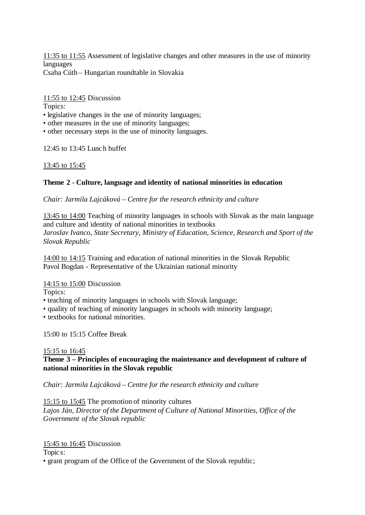11:35 to 11:55 Assessment of legislative changes and other measures in the use of minority languages Csaba Cúth – Hungarian roundtable in Slovakia

11:55 to 12:45 Discussion

Topics:

- legislative changes in the use of minority languages;
- other measures in the use of minority languages;
- other necessary steps in the use of minority languages.

12:45 to 13:45 Lunch buffet

13:45 to 15:45

# **Theme 2 - Culture, language and identity of national minorities in education**

*Chair: Jarmila Lajcáková – Centre for the research ethnicity and culture* 

13:45 to 14:00 Teaching of minority languages in schools with Slovak as the main language and culture and identity of national minorities in textbooks *Jaroslav Ivanco, State Secretary, Ministry of Education, Science, Research and Sport of the Slovak Republic*

14:00 to 14:15 Training and education of national minorities in the Slovak Republic Pavol Bogdan - Representative of the Ukrainian national minority

14:15 to 15:00 Discussion

Topics:

- teaching of minority languages in schools with Slovak language;
- quality of teaching of minority languages in schools with minority language;
- textbooks for national minorities.

15:00 to 15:15 Coffee Break

# 15:15 to 16:45

# **Theme 3 – Principles of encouraging the maintenance and development of culture of national minorities in the Slovak republic**

*Chair: Jarmila Lajcáková – Centre for the research ethnicity and culture* 

15:15 to 15:45 The promotion of minority cultures

*Lajos Ján, Director of the Department of Culture of National Minorities, Office of the Government of the Slovak republic*

# 15:45 to 16:45 Discussion

Topics:

• grant program of the Office of the Government of the Slovak republic;